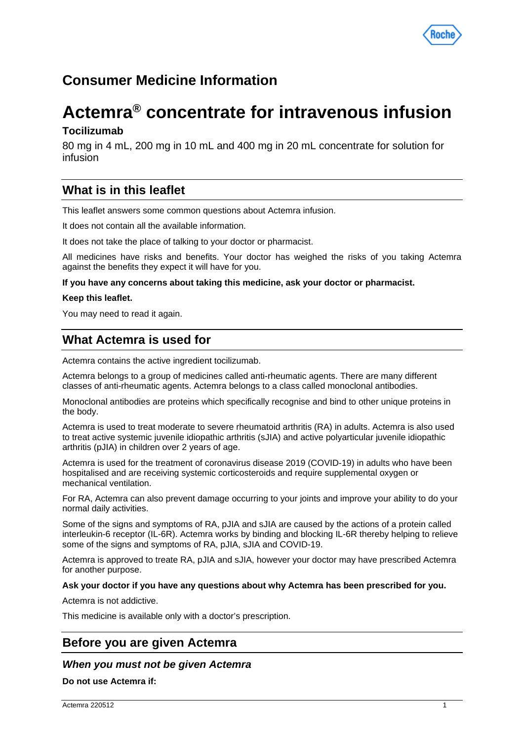

# **Consumer Medicine Information**

# **Actemra® concentrate for intravenous infusion**

# **Tocilizumab**

80 mg in 4 mL, 200 mg in 10 mL and 400 mg in 20 mL concentrate for solution for infusion

# **What is in this leaflet**

This leaflet answers some common questions about Actemra infusion.

It does not contain all the available information.

It does not take the place of talking to your doctor or pharmacist.

All medicines have risks and benefits. Your doctor has weighed the risks of you taking Actemra against the benefits they expect it will have for you.

#### **If you have any concerns about taking this medicine, ask your doctor or pharmacist.**

#### **Keep this leaflet.**

You may need to read it again.

# **What Actemra is used for**

Actemra contains the active ingredient tocilizumab.

Actemra belongs to a group of medicines called anti-rheumatic agents. There are many different classes of anti-rheumatic agents. Actemra belongs to a class called monoclonal antibodies.

Monoclonal antibodies are proteins which specifically recognise and bind to other unique proteins in the body.

Actemra is used to treat moderate to severe rheumatoid arthritis (RA) in adults. Actemra is also used to treat active systemic juvenile idiopathic arthritis (sJIA) and active polyarticular juvenile idiopathic arthritis (pJIA) in children over 2 years of age.

Actemra is used for the treatment of coronavirus disease 2019 (COVID-19) in adults who have been hospitalised and are receiving systemic corticosteroids and require supplemental oxygen or mechanical ventilation.

For RA, Actemra can also prevent damage occurring to your joints and improve your ability to do your normal daily activities.

Some of the signs and symptoms of RA, pJIA and sJIA are caused by the actions of a protein called interleukin-6 receptor (IL-6R). Actemra works by binding and blocking IL-6R thereby helping to relieve some of the signs and symptoms of RA, pJIA, sJIA and COVID-19.

Actemra is approved to treate RA, pJIA and sJIA, however your doctor may have prescribed Actemra for another purpose.

## **Ask your doctor if you have any questions about why Actemra has been prescribed for you.**

Actemra is not addictive.

This medicine is available only with a doctor's prescription.

# **Before you are given Actemra**

# *When you must not be given Actemra*

**Do not use Actemra if:**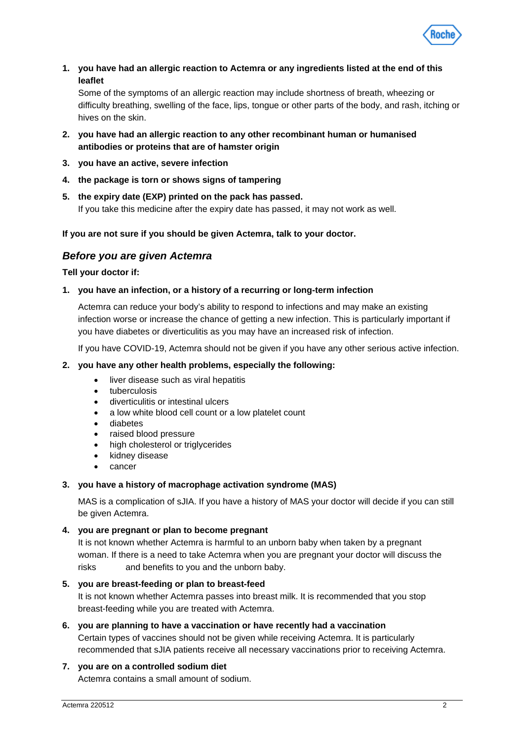

**1. you have had an allergic reaction to Actemra or any ingredients listed at the end of this leaflet**

Some of the symptoms of an allergic reaction may include shortness of breath, wheezing or difficulty breathing, swelling of the face, lips, tongue or other parts of the body, and rash, itching or hives on the skin.

- **2. you have had an allergic reaction to any other recombinant human or humanised antibodies or proteins that are of hamster origin**
- **3. you have an active, severe infection**
- **4. the package is torn or shows signs of tampering**
- **5. the expiry date (EXP) printed on the pack has passed.** If you take this medicine after the expiry date has passed, it may not work as well.

# **If you are not sure if you should be given Actemra, talk to your doctor.**

# *Before you are given Actemra*

## **Tell your doctor if:**

# **1. you have an infection, or a history of a recurring or long-term infection**

Actemra can reduce your body's ability to respond to infections and may make an existing infection worse or increase the chance of getting a new infection. This is particularly important if you have diabetes or diverticulitis as you may have an increased risk of infection.

If you have COVID-19, Actemra should not be given if you have any other serious active infection.

## **2. you have any other health problems, especially the following:**

- liver disease such as viral hepatitis
- tuberculosis
- diverticulitis or intestinal ulcers
- a low white blood cell count or a low platelet count
- diabetes
- raised blood pressure
- high cholesterol or triglycerides
- kidney disease
- cancer

## **3. you have a history of macrophage activation syndrome (MAS)**

MAS is a complication of sJIA. If you have a history of MAS your doctor will decide if you can still be given Actemra.

**4. you are pregnant or plan to become pregnant**

It is not known whether Actemra is harmful to an unborn baby when taken by a pregnant woman. If there is a need to take Actemra when you are pregnant your doctor will discuss the risks and benefits to you and the unborn baby.

## **5. you are breast-feeding or plan to breast-feed**

It is not known whether Actemra passes into breast milk. It is recommended that you stop breast-feeding while you are treated with Actemra.

## **6. you are planning to have a vaccination or have recently had a vaccination**

Certain types of vaccines should not be given while receiving Actemra. It is particularly recommended that sJIA patients receive all necessary vaccinations prior to receiving Actemra.

## **7. you are on a controlled sodium diet**

Actemra contains a small amount of sodium.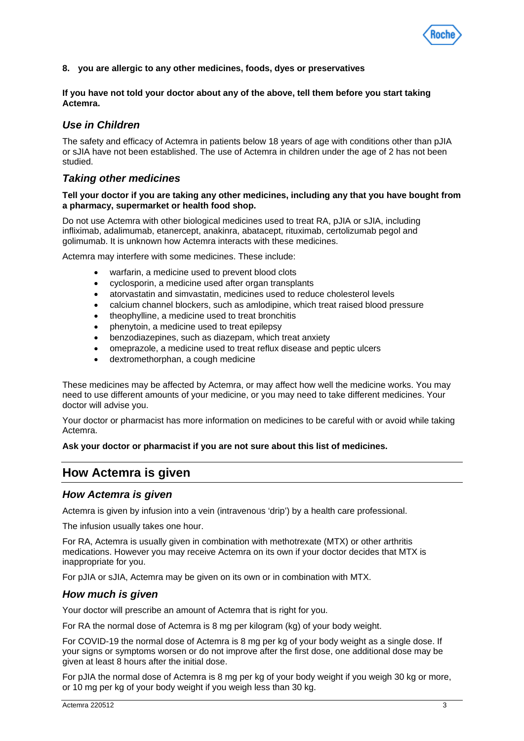

**8. you are allergic to any other medicines, foods, dyes or preservatives**

**If you have not told your doctor about any of the above, tell them before you start taking Actemra.**

# *Use in Children*

The safety and efficacy of Actemra in patients below 18 years of age with conditions other than pJIA or sJIA have not been established. The use of Actemra in children under the age of 2 has not been studied.

# *Taking other medicines*

#### **Tell your doctor if you are taking any other medicines, including any that you have bought from a pharmacy, supermarket or health food shop.**

Do not use Actemra with other biological medicines used to treat RA, pJIA or sJIA, including infliximab, adalimumab, etanercept, anakinra, abatacept, rituximab, certolizumab pegol and golimumab. It is unknown how Actemra interacts with these medicines.

Actemra may interfere with some medicines. These include:

- warfarin, a medicine used to prevent blood clots
- cyclosporin, a medicine used after organ transplants
- atorvastatin and simvastatin, medicines used to reduce cholesterol levels
- calcium channel blockers, such as amlodipine, which treat raised blood pressure
- theophylline, a medicine used to treat bronchitis
- phenytoin, a medicine used to treat epilepsy
- benzodiazepines, such as diazepam, which treat anxiety
- omeprazole, a medicine used to treat reflux disease and peptic ulcers
- dextromethorphan, a cough medicine

These medicines may be affected by Actemra, or may affect how well the medicine works. You may need to use different amounts of your medicine, or you may need to take different medicines. Your doctor will advise you.

Your doctor or pharmacist has more information on medicines to be careful with or avoid while taking Actemra.

#### **Ask your doctor or pharmacist if you are not sure about this list of medicines.**

# **How Actemra is given**

## *How Actemra is given*

Actemra is given by infusion into a vein (intravenous 'drip') by a health care professional.

The infusion usually takes one hour.

For RA, Actemra is usually given in combination with methotrexate (MTX) or other arthritis medications. However you may receive Actemra on its own if your doctor decides that MTX is inappropriate for you.

For pJIA or sJIA, Actemra may be given on its own or in combination with MTX.

# *How much is given*

Your doctor will prescribe an amount of Actemra that is right for you.

For RA the normal dose of Actemra is 8 mg per kilogram (kg) of your body weight.

For COVID-19 the normal dose of Actemra is 8 mg per kg of your body weight as a single dose. If your signs or symptoms worsen or do not improve after the first dose, one additional dose may be given at least 8 hours after the initial dose.

For pJIA the normal dose of Actemra is 8 mg per kg of your body weight if you weigh 30 kg or more, or 10 mg per kg of your body weight if you weigh less than 30 kg.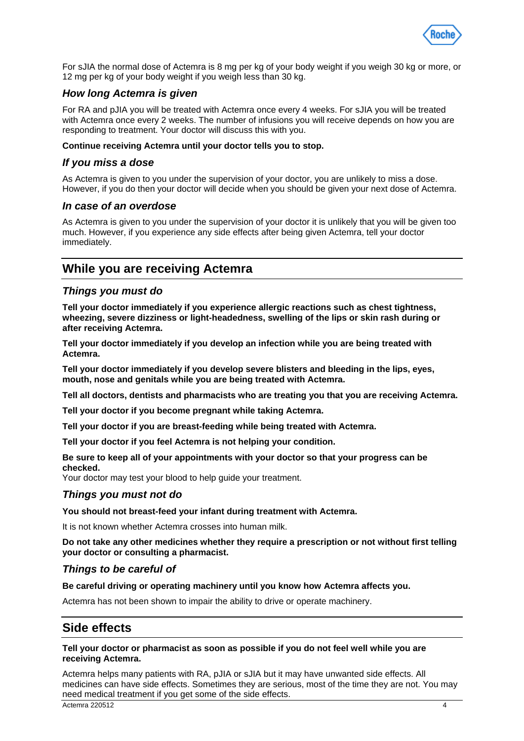

For sJIA the normal dose of Actemra is 8 mg per kg of your body weight if you weigh 30 kg or more, or 12 mg per kg of your body weight if you weigh less than 30 kg.

# *How long Actemra is given*

For RA and pJIA you will be treated with Actemra once every 4 weeks. For sJIA you will be treated with Actemra once every 2 weeks. The number of infusions you will receive depends on how you are responding to treatment. Your doctor will discuss this with you.

## **Continue receiving Actemra until your doctor tells you to stop.**

# *If you miss a dose*

As Actemra is given to you under the supervision of your doctor, you are unlikely to miss a dose. However, if you do then your doctor will decide when you should be given your next dose of Actemra.

# *In case of an overdose*

As Actemra is given to you under the supervision of your doctor it is unlikely that you will be given too much. However, if you experience any side effects after being given Actemra, tell your doctor immediately.

# **While you are receiving Actemra**

# *Things you must do*

**Tell your doctor immediately if you experience allergic reactions such as chest tightness, wheezing, severe dizziness or light-headedness, swelling of the lips or skin rash during or after receiving Actemra.**

**Tell your doctor immediately if you develop an infection while you are being treated with Actemra.**

**Tell your doctor immediately if you develop severe blisters and bleeding in the lips, eyes, mouth, nose and genitals while you are being treated with Actemra.**

**Tell all doctors, dentists and pharmacists who are treating you that you are receiving Actemra.**

**Tell your doctor if you become pregnant while taking Actemra.**

**Tell your doctor if you are breast-feeding while being treated with Actemra.**

**Tell your doctor if you feel Actemra is not helping your condition.**

**Be sure to keep all of your appointments with your doctor so that your progress can be checked.**

Your doctor may test your blood to help guide your treatment.

## *Things you must not do*

**You should not breast-feed your infant during treatment with Actemra.**

It is not known whether Actemra crosses into human milk.

**Do not take any other medicines whether they require a prescription or not without first telling your doctor or consulting a pharmacist.**

# *Things to be careful of*

**Be careful driving or operating machinery until you know how Actemra affects you.**

Actemra has not been shown to impair the ability to drive or operate machinery.

# **Side effects**

**Tell your doctor or pharmacist as soon as possible if you do not feel well while you are receiving Actemra.**

Actemra helps many patients with RA, pJIA or sJIA but it may have unwanted side effects. All medicines can have side effects. Sometimes they are serious, most of the time they are not. You may need medical treatment if you get some of the side effects.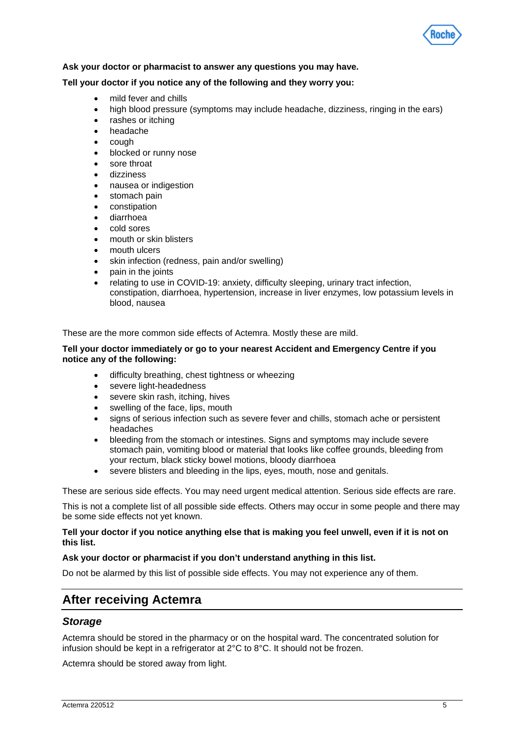

#### **Ask your doctor or pharmacist to answer any questions you may have.**

#### **Tell your doctor if you notice any of the following and they worry you:**

- mild fever and chills
- high blood pressure (symptoms may include headache, dizziness, ringing in the ears)
- rashes or itching
- headache
- cough
- blocked or runny nose
- sore throat
- dizziness
- nausea or indigestion
- stomach pain
- constipation
- diarrhoea
- cold sores
- mouth or skin blisters
- mouth ulcers
- skin infection (redness, pain and/or swelling)
- pain in the joints
- relating to use in COVID-19: anxiety, difficulty sleeping, urinary tract infection, constipation, diarrhoea, hypertension, increase in liver enzymes, low potassium levels in blood, nausea

These are the more common side effects of Actemra. Mostly these are mild.

#### **Tell your doctor immediately or go to your nearest Accident and Emergency Centre if you notice any of the following:**

- difficulty breathing, chest tightness or wheezing
- severe light-headedness
- severe skin rash, itching, hives
- swelling of the face, lips, mouth
- signs of serious infection such as severe fever and chills, stomach ache or persistent headaches
- bleeding from the stomach or intestines. Signs and symptoms may include severe stomach pain, vomiting blood or material that looks like coffee grounds, bleeding from your rectum, black sticky bowel motions, bloody diarrhoea
- severe blisters and bleeding in the lips, eyes, mouth, nose and genitals.

These are serious side effects. You may need urgent medical attention. Serious side effects are rare.

This is not a complete list of all possible side effects. Others may occur in some people and there may be some side effects not yet known.

#### **Tell your doctor if you notice anything else that is making you feel unwell, even if it is not on this list.**

#### **Ask your doctor or pharmacist if you don't understand anything in this list.**

Do not be alarmed by this list of possible side effects. You may not experience any of them.

# **After receiving Actemra**

## *Storage*

Actemra should be stored in the pharmacy or on the hospital ward. The concentrated solution for infusion should be kept in a refrigerator at 2°C to 8°C. It should not be frozen.

Actemra should be stored away from light.